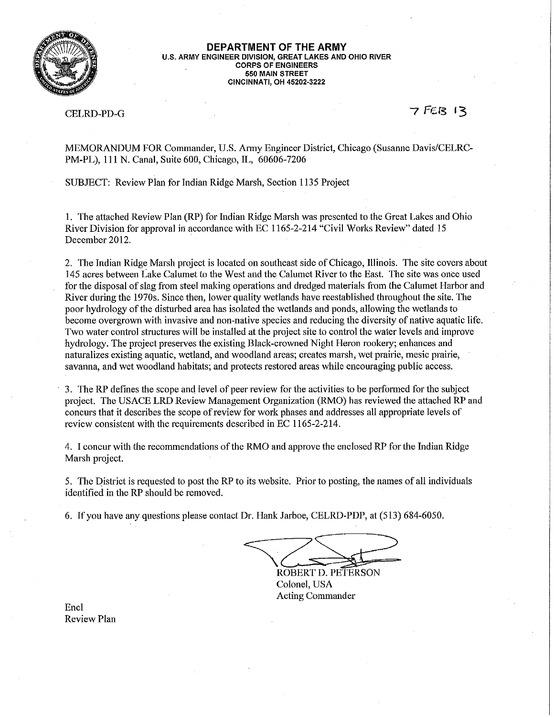

#### DEPARTMENT OF THE ARMY U.S. ARMY ENGINEER DIVISION, GREAT LAKES AND OHIO RIVER **CORPS OF ENGINEERS** 550 MAIN STREET **CINCINNATI, OH 45202-3222**

#### **CELRD-PD-G**

7 FEB 13

MEMORANDUM FOR Commander, U.S. Army Engineer District, Chicago (Susanne Davis/CELRC-PM-PL), 111 N. Canal, Suite 600, Chicago, IL, 60606-7206

SUBJECT: Review Plan for Indian Ridge Marsh, Section 1135 Project

1. The attached Review Plan (RP) for Indian Ridge Marsh was presented to the Great Lakes and Ohio River Division for approval in accordance with EC 1165-2-214 "Civil Works Review" dated 15 December 2012.

2. The Indian Ridge Marsh project is located on southeast side of Chicago, Illinois. The site covers about 145 acres between Lake Calumet to the West and the Calumet River to the East. The site was once used for the disposal of slag from steel making operations and dredged materials from the Calumet Harbor and River during the 1970s. Since then, lower quality wetlands have reestablished throughout the site. The poor hydrology of the disturbed area has isolated the wetlands and ponds, allowing the wetlands to become overgrown with invasive and non-native species and reducing the diversity of native aquatic life. Two water control structures will be installed at the project site to control the water levels and improve hydrology. The project preserves the existing Black-crowned Night Heron rookery; enhances and naturalizes existing aquatic, wetland, and woodland areas; creates marsh, wet prairie, mesic prairie, sayanna, and wet woodland habitats; and protects restored areas while encouraging public access.

3. The RP defines the scope and level of peer review for the activities to be performed for the subject project. The USACE LRD Review Management Organization (RMO) has reviewed the attached RP and concurs that it describes the scope of review for work phases and addresses all appropriate levels of review consistent with the requirements described in EC 1165-2-214.

4. I concur with the recommendations of the RMO and approve the enclosed RP for the Indian Ridge Marsh project.

5. The District is requested to post the RP to its website. Prior to posting, the names of all individuals identified in the RP should be removed.

6. If you have any questions please contact Dr. Hank Jarboe, CELRD-PDP, at (513) 684-6050.

ROBERT D. PETERSON Colonel, USA Acting Commander

Encl **Review Plan**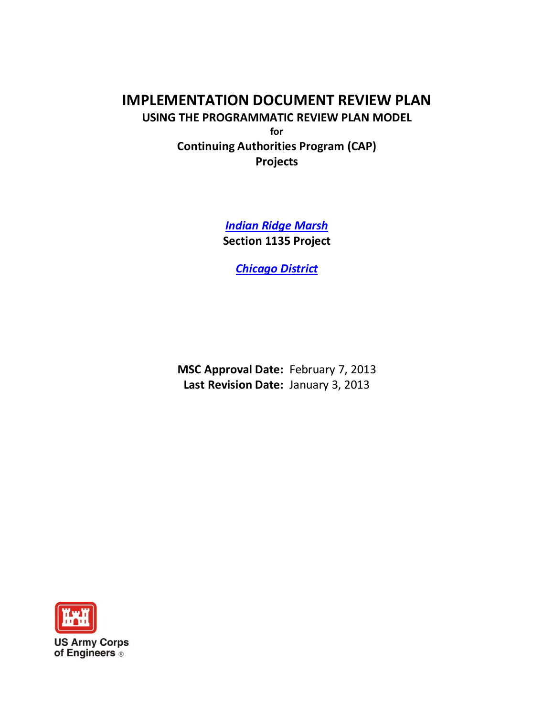# **IMPLEMENTATION DOCUMENT REVIEW PLAN USING THE PROGRAMMATIC REVIEW PLAN MODEL for Continuing Authorities Program (CAP) Projects**

*Indian Ridge Marsh* **Section 1135 Project**

*Chicago District*

**MSC Approval Date:** February 7, 2013 **Last Revision Date:** January 3, 2013

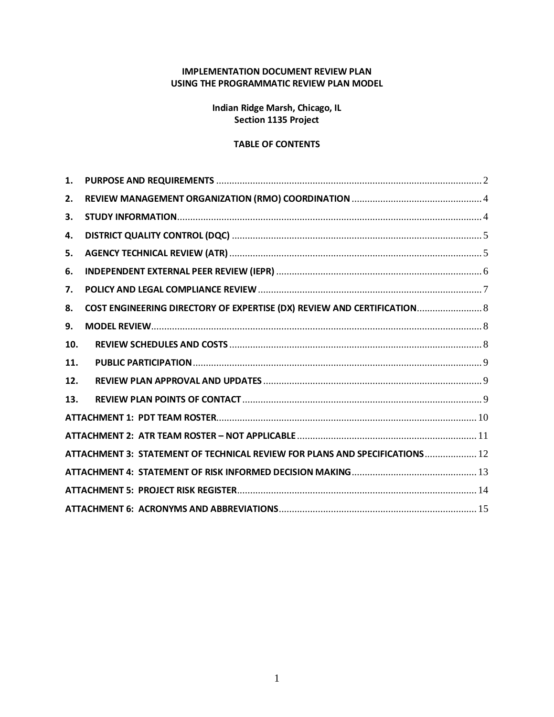#### **IMPLEMENTATION DOCUMENT REVIEW PLAN USING THE PROGRAMMATIC REVIEW PLAN MODEL**

**Indian Ridge Marsh, Chicago, IL Section 1135 Project**

#### **TABLE OF CONTENTS**

| 1.  | ${\bf PURPOSE}~{\bf AND}~{\bf REQUIREMENTS}~$                               |
|-----|-----------------------------------------------------------------------------|
| 2.  |                                                                             |
| 3.  |                                                                             |
| 4.  |                                                                             |
| 5.  |                                                                             |
| 6.  |                                                                             |
| 7.  |                                                                             |
| 8.  | COST ENGINEERING DIRECTORY OF EXPERTISE (DX) REVIEW AND CERTIFICATION 8     |
| 9.  |                                                                             |
| 10. |                                                                             |
| 11. |                                                                             |
| 12. |                                                                             |
| 13. |                                                                             |
|     |                                                                             |
|     |                                                                             |
|     | ATTACHMENT 3: STATEMENT OF TECHNICAL REVIEW FOR PLANS AND SPECIFICATIONS 12 |
|     |                                                                             |
|     |                                                                             |
|     |                                                                             |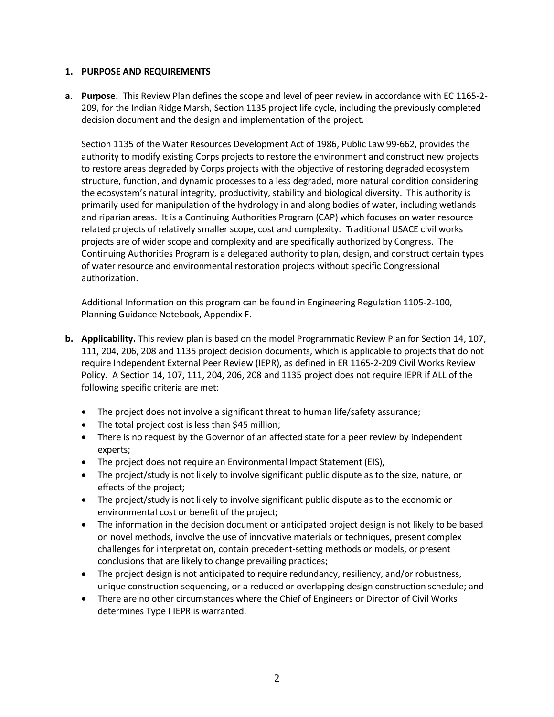#### <span id="page-3-0"></span>**1. PURPOSE AND REQUIREMENTS**

**a. Purpose.** This Review Plan defines the scope and level of peer review in accordance with EC 1165-2- 209, for the Indian Ridge Marsh, Section 1135 project life cycle, including the previously completed decision document and the design and implementation of the project.

Section 1135 of the Water Resources Development Act of 1986, Public Law 99-662, provides the authority to modify existing Corps projects to restore the environment and construct new projects to restore areas degraded by Corps projects with the objective of restoring degraded ecosystem structure, function, and dynamic processes to a less degraded, more natural condition considering the ecosystem's natural integrity, productivity, stability and biological diversity. This authority is primarily used for manipulation of the hydrology in and along bodies of water, including wetlands and riparian areas. It is a Continuing Authorities Program (CAP) which focuses on water resource related projects of relatively smaller scope, cost and complexity. Traditional USACE civil works projects are of wider scope and complexity and are specifically authorized by Congress. The Continuing Authorities Program is a delegated authority to plan, design, and construct certain types of water resource and environmental restoration projects without specific Congressional authorization.

Additional Information on this program can be found in Engineering Regulation 1105-2-100, Planning Guidance Notebook, Appendix F.

- **b. Applicability.** This review plan is based on the model Programmatic Review Plan for Section 14, 107, 111, 204, 206, 208 and 1135 project decision documents, which is applicable to projects that do not require Independent External Peer Review (IEPR), as defined in ER 1165-2-209 Civil Works Review Policy. A Section 14, 107, 111, 204, 206, 208 and 1135 project does not require IEPR if ALL of the following specific criteria are met:
	- The project does not involve a significant threat to human life/safety assurance;
	- The total project cost is less than \$45 million;
	- There is no request by the Governor of an affected state for a peer review by independent experts;
	- The project does not require an Environmental Impact Statement (EIS),
	- The project/study is not likely to involve significant public dispute as to the size, nature, or effects of the project;
	- The project/study is not likely to involve significant public dispute as to the economic or environmental cost or benefit of the project;
	- The information in the decision document or anticipated project design is not likely to be based on novel methods, involve the use of innovative materials or techniques, present complex challenges for interpretation, contain precedent-setting methods or models, or present conclusions that are likely to change prevailing practices;
	- The project design is not anticipated to require redundancy, resiliency, and/or robustness, unique construction sequencing, or a reduced or overlapping design construction schedule; and
	- There are no other circumstances where the Chief of Engineers or Director of Civil Works determines Type I IEPR is warranted.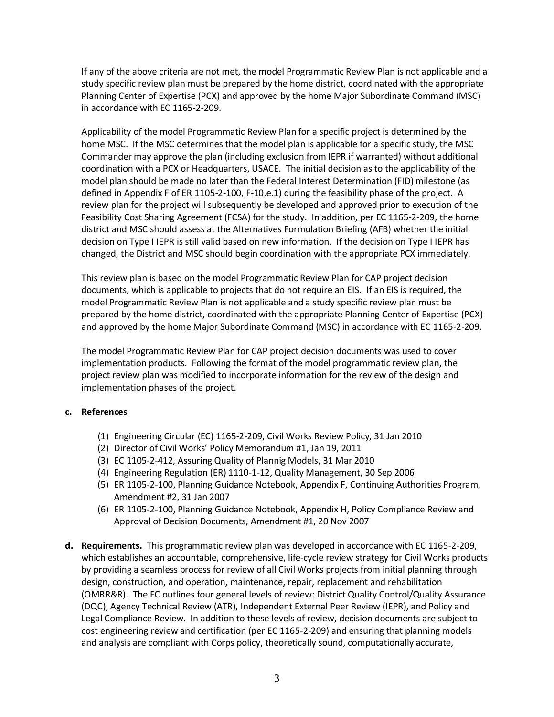If any of the above criteria are not met, the model Programmatic Review Plan is not applicable and a study specific review plan must be prepared by the home district, coordinated with the appropriate Planning Center of Expertise (PCX) and approved by the home Major Subordinate Command (MSC) in accordance with EC 1165-2-209.

Applicability of the model Programmatic Review Plan for a specific project is determined by the home MSC. If the MSC determines that the model plan is applicable for a specific study, the MSC Commander may approve the plan (including exclusion from IEPR if warranted) without additional coordination with a PCX or Headquarters, USACE. The initial decision as to the applicability of the model plan should be made no later than the Federal Interest Determination (FID) milestone (as defined in Appendix F of ER 1105-2-100, F-10.e.1) during the feasibility phase of the project. A review plan for the project will subsequently be developed and approved prior to execution of the Feasibility Cost Sharing Agreement (FCSA) for the study. In addition, per EC 1165-2-209, the home district and MSC should assess at the Alternatives Formulation Briefing (AFB) whether the initial decision on Type I IEPR is still valid based on new information. If the decision on Type I IEPR has changed, the District and MSC should begin coordination with the appropriate PCX immediately.

This review plan is based on the model Programmatic Review Plan for CAP project decision documents, which is applicable to projects that do not require an EIS. If an EIS is required, the model Programmatic Review Plan is not applicable and a study specific review plan must be prepared by the home district, coordinated with the appropriate Planning Center of Expertise (PCX) and approved by the home Major Subordinate Command (MSC) in accordance with EC 1165-2-209.

The model Programmatic Review Plan for CAP project decision documents was used to cover implementation products. Following the format of the model programmatic review plan, the project review plan was modified to incorporate information for the review of the design and implementation phases of the project.

#### **c. References**

- (1) Engineering Circular (EC) 1165-2-209, Civil Works Review Policy, 31 Jan 2010
- (2) Director of Civil Works' Policy Memorandum #1, Jan 19, 2011
- (3) EC 1105-2-412, Assuring Quality of Plannig Models, 31 Mar 2010
- (4) Engineering Regulation (ER) 1110-1-12, Quality Management, 30 Sep 2006
- (5) ER 1105-2-100, Planning Guidance Notebook, Appendix F, Continuing Authorities Program, Amendment #2, 31 Jan 2007
- (6) ER 1105-2-100, Planning Guidance Notebook, Appendix H, Policy Compliance Review and Approval of Decision Documents, Amendment #1, 20 Nov 2007
- **d. Requirements.** This programmatic review plan was developed in accordance with EC 1165-2-209, which establishes an accountable, comprehensive, life-cycle review strategy for Civil Works products by providing a seamless process for review of all Civil Works projects from initial planning through design, construction, and operation, maintenance, repair, replacement and rehabilitation (OMRR&R). The EC outlines four general levels of review: District Quality Control/Quality Assurance (DQC), Agency Technical Review (ATR), Independent External Peer Review (IEPR), and Policy and Legal Compliance Review. In addition to these levels of review, decision documents are subject to cost engineering review and certification (per EC 1165-2-209) and ensuring that planning models and analysis are compliant with Corps policy, theoretically sound, computationally accurate,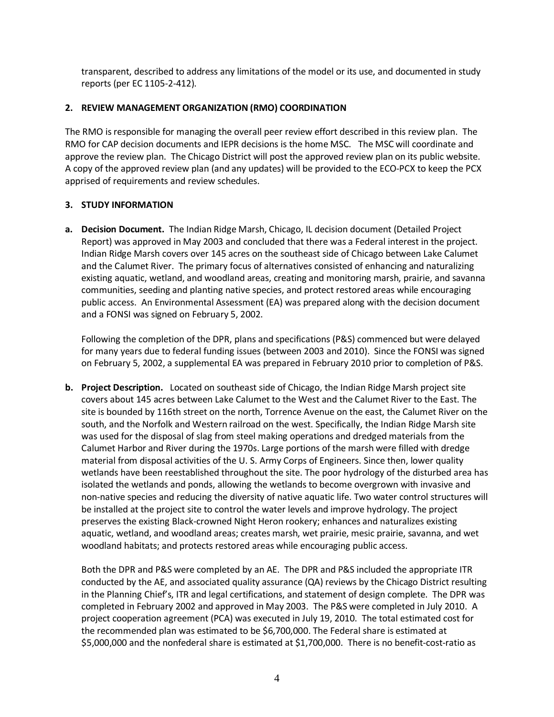transparent, described to address any limitations of the model or its use, and documented in study reports (per EC 1105-2-412).

#### <span id="page-5-0"></span>**2. REVIEW MANAGEMENT ORGANIZATION (RMO) COORDINATION**

The RMO is responsible for managing the overall peer review effort described in this review plan. The RMO for CAP decision documents and IEPR decisions is the home MSC. The MSC will coordinate and approve the review plan. The Chicago District will post the approved review plan on its public website. A copy of the approved review plan (and any updates) will be provided to the ECO-PCX to keep the PCX apprised of requirements and review schedules.

#### <span id="page-5-1"></span>**3. STUDY INFORMATION**

**a. Decision Document.** The Indian Ridge Marsh, Chicago, IL decision document (Detailed Project Report) was approved in May 2003 and concluded that there was a Federal interest in the project. Indian Ridge Marsh covers over 145 acres on the southeast side of Chicago between Lake Calumet and the Calumet River. The primary focus of alternatives consisted of enhancing and naturalizing existing aquatic, wetland, and woodland areas, creating and monitoring marsh, prairie, and savanna communities, seeding and planting native species, and protect restored areas while encouraging public access. An Environmental Assessment (EA) was prepared along with the decision document and a FONSI was signed on February 5, 2002.

Following the completion of the DPR, plans and specifications (P&S) commenced but were delayed for many years due to federal funding issues (between 2003 and 2010). Since the FONSI was signed on February 5, 2002, a supplemental EA was prepared in February 2010 prior to completion of P&S.

**b. Project Description.** Located on southeast side of Chicago, the Indian Ridge Marsh project site covers about 145 acres between Lake Calumet to the West and the Calumet River to the East. The site is bounded by 116th street on the north, Torrence Avenue on the east, the Calumet River on the south, and the Norfolk and Western railroad on the west. Specifically, the Indian Ridge Marsh site was used for the disposal of slag from steel making operations and dredged materials from the Calumet Harbor and River during the 1970s. Large portions of the marsh were filled with dredge material from disposal activities of the U. S. Army Corps of Engineers. Since then, lower quality wetlands have been reestablished throughout the site. The poor hydrology of the disturbed area has isolated the wetlands and ponds, allowing the wetlands to become overgrown with invasive and non-native species and reducing the diversity of native aquatic life. Two water control structures will be installed at the project site to control the water levels and improve hydrology. The project preserves the existing Black-crowned Night Heron rookery; enhances and naturalizes existing aquatic, wetland, and woodland areas; creates marsh, wet prairie, mesic prairie, savanna, and wet woodland habitats; and protects restored areas while encouraging public access.

Both the DPR and P&S were completed by an AE. The DPR and P&S included the appropriate ITR conducted by the AE, and associated quality assurance (QA) reviews by the Chicago District resulting in the Planning Chief's, ITR and legal certifications, and statement of design complete. The DPR was completed in February 2002 and approved in May 2003. The P&S were completed in July 2010. A project cooperation agreement (PCA) was executed in July 19, 2010. The total estimated cost for the recommended plan was estimated to be \$6,700,000. The Federal share is estimated at \$5,000,000 and the nonfederal share is estimated at \$1,700,000. There is no benefit-cost-ratio as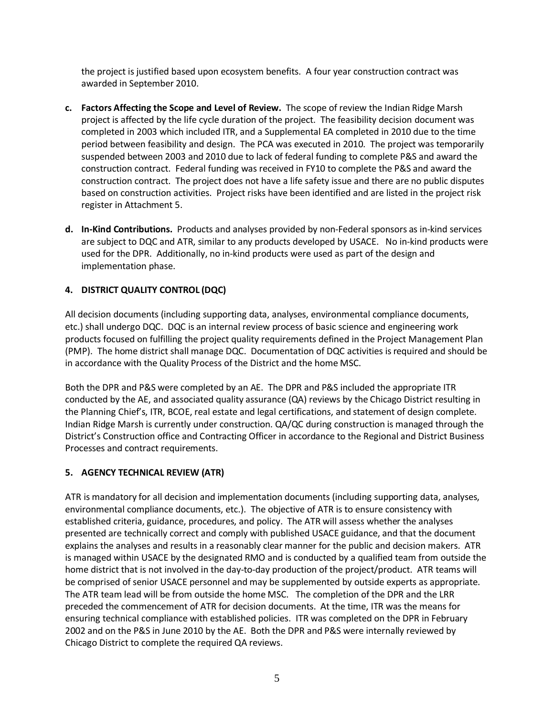the project is justified based upon ecosystem benefits. A four year construction contract was awarded in September 2010.

- **c. Factors Affecting the Scope and Level of Review.** The scope of review the Indian Ridge Marsh project is affected by the life cycle duration of the project. The feasibility decision document was completed in 2003 which included ITR, and a Supplemental EA completed in 2010 due to the time period between feasibility and design. The PCA was executed in 2010. The project was temporarily suspended between 2003 and 2010 due to lack of federal funding to complete P&S and award the construction contract. Federal funding was received in FY10 to complete the P&S and award the construction contract. The project does not have a life safety issue and there are no public disputes based on construction activities. Project risks have been identified and are listed in the project risk register in Attachment 5.
- **d. In-Kind Contributions.** Products and analyses provided by non-Federal sponsors as in-kind services are subject to DQC and ATR, similar to any products developed by USACE. No in-kind products were used for the DPR. Additionally, no in-kind products were used as part of the design and implementation phase.

## <span id="page-6-0"></span>**4. DISTRICT QUALITY CONTROL (DQC)**

All decision documents (including supporting data, analyses, environmental compliance documents, etc.) shall undergo DQC. DQC is an internal review process of basic science and engineering work products focused on fulfilling the project quality requirements defined in the Project Management Plan (PMP). The home district shall manage DQC. Documentation of DQC activities is required and should be in accordance with the Quality Process of the District and the home MSC.

Both the DPR and P&S were completed by an AE. The DPR and P&S included the appropriate ITR conducted by the AE, and associated quality assurance (QA) reviews by the Chicago District resulting in the Planning Chief's, ITR, BCOE, real estate and legal certifications, and statement of design complete. Indian Ridge Marsh is currently under construction. QA/QC during construction is managed through the District's Construction office and Contracting Officer in accordance to the Regional and District Business Processes and contract requirements.

#### <span id="page-6-1"></span>**5. AGENCY TECHNICAL REVIEW (ATR)**

ATR is mandatory for all decision and implementation documents (including supporting data, analyses, environmental compliance documents, etc.). The objective of ATR is to ensure consistency with established criteria, guidance, procedures, and policy. The ATR will assess whether the analyses presented are technically correct and comply with published USACE guidance, and that the document explains the analyses and results in a reasonably clear manner for the public and decision makers. ATR is managed within USACE by the designated RMO and is conducted by a qualified team from outside the home district that is not involved in the day-to-day production of the project/product. ATR teams will be comprised of senior USACE personnel and may be supplemented by outside experts as appropriate. The ATR team lead will be from outside the home MSC. The completion of the DPR and the LRR preceded the commencement of ATR for decision documents. At the time, ITR was the means for ensuring technical compliance with established policies. ITR was completed on the DPR in February 2002 and on the P&S in June 2010 by the AE. Both the DPR and P&S were internally reviewed by Chicago District to complete the required QA reviews.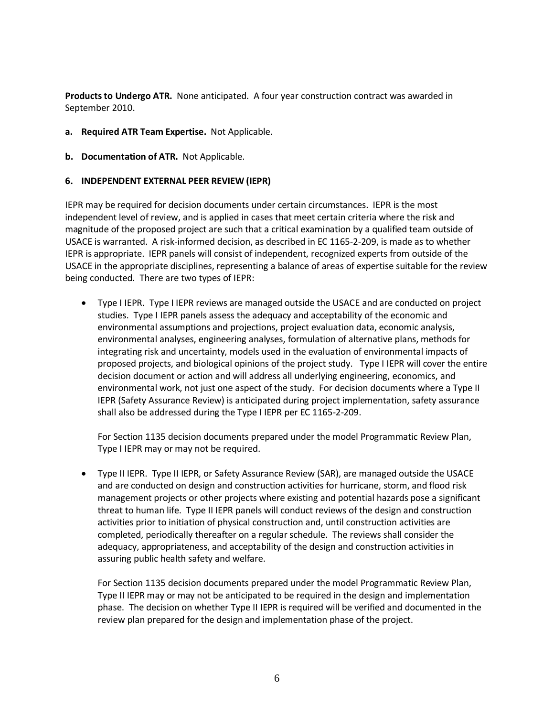**Products to Undergo ATR.** None anticipated. A four year construction contract was awarded in September 2010.

- **a. Required ATR Team Expertise.** Not Applicable.
- **b. Documentation of ATR.** Not Applicable.

#### <span id="page-7-0"></span>**6. INDEPENDENT EXTERNAL PEER REVIEW (IEPR)**

IEPR may be required for decision documents under certain circumstances. IEPR is the most independent level of review, and is applied in cases that meet certain criteria where the risk and magnitude of the proposed project are such that a critical examination by a qualified team outside of USACE is warranted. A risk-informed decision, as described in EC 1165-2-209, is made as to whether IEPR is appropriate. IEPR panels will consist of independent, recognized experts from outside of the USACE in the appropriate disciplines, representing a balance of areas of expertise suitable for the review being conducted. There are two types of IEPR:

• Type I IEPR. Type I IEPR reviews are managed outside the USACE and are conducted on project studies. Type I IEPR panels assess the adequacy and acceptability of the economic and environmental assumptions and projections, project evaluation data, economic analysis, environmental analyses, engineering analyses, formulation of alternative plans, methods for integrating risk and uncertainty, models used in the evaluation of environmental impacts of proposed projects, and biological opinions of the project study. Type I IEPR will cover the entire decision document or action and will address all underlying engineering, economics, and environmental work, not just one aspect of the study. For decision documents where a Type II IEPR (Safety Assurance Review) is anticipated during project implementation, safety assurance shall also be addressed during the Type I IEPR per EC 1165-2-209.

For Section 1135 decision documents prepared under the model Programmatic Review Plan, Type I IEPR may or may not be required.

• Type II IEPR. Type II IEPR, or Safety Assurance Review (SAR), are managed outside the USACE and are conducted on design and construction activities for hurricane, storm, and flood risk management projects or other projects where existing and potential hazards pose a significant threat to human life. Type II IEPR panels will conduct reviews of the design and construction activities prior to initiation of physical construction and, until construction activities are completed, periodically thereafter on a regular schedule. The reviews shall consider the adequacy, appropriateness, and acceptability of the design and construction activities in assuring public health safety and welfare.

For Section 1135 decision documents prepared under the model Programmatic Review Plan, Type II IEPR may or may not be anticipated to be required in the design and implementation phase. The decision on whether Type II IEPR is required will be verified and documented in the review plan prepared for the design and implementation phase of the project.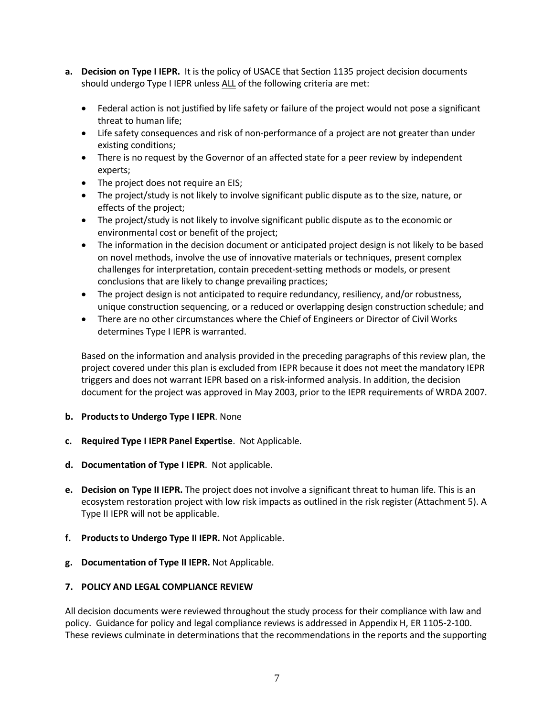- **a. Decision on Type I IEPR.** It is the policy of USACE that Section 1135 project decision documents should undergo Type I IEPR unless ALL of the following criteria are met:
	- Federal action is not justified by life safety or failure of the project would not pose a significant threat to human life;
	- Life safety consequences and risk of non-performance of a project are not greater than under existing conditions;
	- There is no request by the Governor of an affected state for a peer review by independent experts;
	- The project does not require an EIS;
	- The project/study is not likely to involve significant public dispute as to the size, nature, or effects of the project;
	- The project/study is not likely to involve significant public dispute as to the economic or environmental cost or benefit of the project;
	- The information in the decision document or anticipated project design is not likely to be based on novel methods, involve the use of innovative materials or techniques, present complex challenges for interpretation, contain precedent-setting methods or models, or present conclusions that are likely to change prevailing practices;
	- The project design is not anticipated to require redundancy, resiliency, and/or robustness, unique construction sequencing, or a reduced or overlapping design construction schedule; and
	- There are no other circumstances where the Chief of Engineers or Director of Civil Works determines Type I IEPR is warranted.

Based on the information and analysis provided in the preceding paragraphs of this review plan, the project covered under this plan is excluded from IEPR because it does not meet the mandatory IEPR triggers and does not warrant IEPR based on a risk-informed analysis. In addition, the decision document for the project was approved in May 2003, prior to the IEPR requirements of WRDA 2007.

- **b. Products to Undergo Type I IEPR**. None
- **c. Required Type I IEPR Panel Expertise**. Not Applicable.
- **d. Documentation of Type I IEPR**. Not applicable.
- <span id="page-8-0"></span>**e. Decision on Type II IEPR.** The project does not involve a significant threat to human life. This is an ecosystem restoration project with low risk impacts as outlined in the risk register (Attachment 5). A Type II IEPR will not be applicable.
- **f. Products to Undergo Type II IEPR.** Not Applicable.
- **g. Documentation of Type II IEPR.** Not Applicable.

#### **7. POLICY AND LEGAL COMPLIANCE REVIEW**

All decision documents were reviewed throughout the study process for their compliance with law and policy. Guidance for policy and legal compliance reviews is addressed in Appendix H, ER 1105-2-100. These reviews culminate in determinations that the recommendations in the reports and the supporting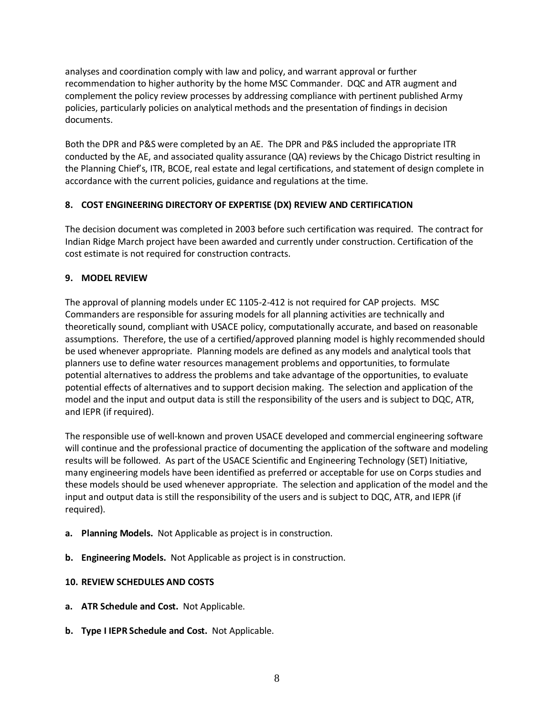analyses and coordination comply with law and policy, and warrant approval or further recommendation to higher authority by the home MSC Commander. DQC and ATR augment and complement the policy review processes by addressing compliance with pertinent published Army policies, particularly policies on analytical methods and the presentation of findings in decision documents.

Both the DPR and P&S were completed by an AE. The DPR and P&S included the appropriate ITR conducted by the AE, and associated quality assurance (QA) reviews by the Chicago District resulting in the Planning Chief's, ITR, BCOE, real estate and legal certifications, and statement of design complete in accordance with the current policies, guidance and regulations at the time.

## <span id="page-9-0"></span>**8. COST ENGINEERING DIRECTORY OF EXPERTISE (DX) REVIEW AND CERTIFICATION**

The decision document was completed in 2003 before such certification was required. The contract for Indian Ridge March project have been awarded and currently under construction. Certification of the cost estimate is not required for construction contracts.

#### <span id="page-9-1"></span>**9. MODEL REVIEW**

The approval of planning models under EC 1105-2-412 is not required for CAP projects. MSC Commanders are responsible for assuring models for all planning activities are technically and theoretically sound, compliant with USACE policy, computationally accurate, and based on reasonable assumptions. Therefore, the use of a certified/approved planning model is highly recommended should be used whenever appropriate. Planning models are defined as any models and analytical tools that planners use to define water resources management problems and opportunities, to formulate potential alternatives to address the problems and take advantage of the opportunities, to evaluate potential effects of alternatives and to support decision making. The selection and application of the model and the input and output data is still the responsibility of the users and is subject to DQC, ATR, and IEPR (if required).

The responsible use of well-known and proven USACE developed and commercial engineering software will continue and the professional practice of documenting the application of the software and modeling results will be followed. As part of the USACE Scientific and Engineering Technology (SET) Initiative, many engineering models have been identified as preferred or acceptable for use on Corps studies and these models should be used whenever appropriate. The selection and application of the model and the input and output data is still the responsibility of the users and is subject to DQC, ATR, and IEPR (if required).

- **a. Planning Models.** Not Applicable as project is in construction.
- **b. Engineering Models.** Not Applicable as project is in construction.

#### <span id="page-9-2"></span>**10. REVIEW SCHEDULES AND COSTS**

- **a. ATR Schedule and Cost.** Not Applicable.
- **b. Type I IEPR Schedule and Cost.** Not Applicable.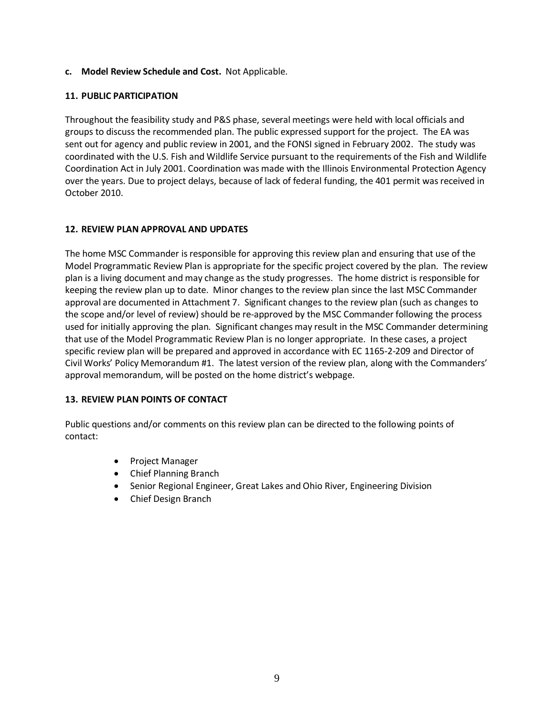#### **c. Model Review Schedule and Cost.** Not Applicable.

#### <span id="page-10-0"></span>**11. PUBLIC PARTICIPATION**

Throughout the feasibility study and P&S phase, several meetings were held with local officials and groups to discuss the recommended plan. The public expressed support for the project. The EA was sent out for agency and public review in 2001, and the FONSI signed in February 2002. The study was coordinated with the U.S. Fish and Wildlife Service pursuant to the requirements of the Fish and Wildlife Coordination Act in July 2001. Coordination was made with the Illinois Environmental Protection Agency over the years. Due to project delays, because of lack of federal funding, the 401 permit was received in October 2010.

#### <span id="page-10-1"></span>**12. REVIEW PLAN APPROVAL AND UPDATES**

The home MSC Commander is responsible for approving this review plan and ensuring that use of the Model Programmatic Review Plan is appropriate for the specific project covered by the plan. The review plan is a living document and may change as the study progresses. The home district is responsible for keeping the review plan up to date. Minor changes to the review plan since the last MSC Commander approval are documented in Attachment 7. Significant changes to the review plan (such as changes to the scope and/or level of review) should be re-approved by the MSC Commander following the process used for initially approving the plan. Significant changes may result in the MSC Commander determining that use of the Model Programmatic Review Plan is no longer appropriate. In these cases, a project specific review plan will be prepared and approved in accordance with EC 1165-2-209 and Director of Civil Works' Policy Memorandum #1. The latest version of the review plan, along with the Commanders' approval memorandum, will be posted on the home district's webpage.

#### <span id="page-10-2"></span>**13. REVIEW PLAN POINTS OF CONTACT**

Public questions and/or comments on this review plan can be directed to the following points of contact:

- Project Manager
- Chief Planning Branch
- Senior Regional Engineer, Great Lakes and Ohio River, Engineering Division
- Chief Design Branch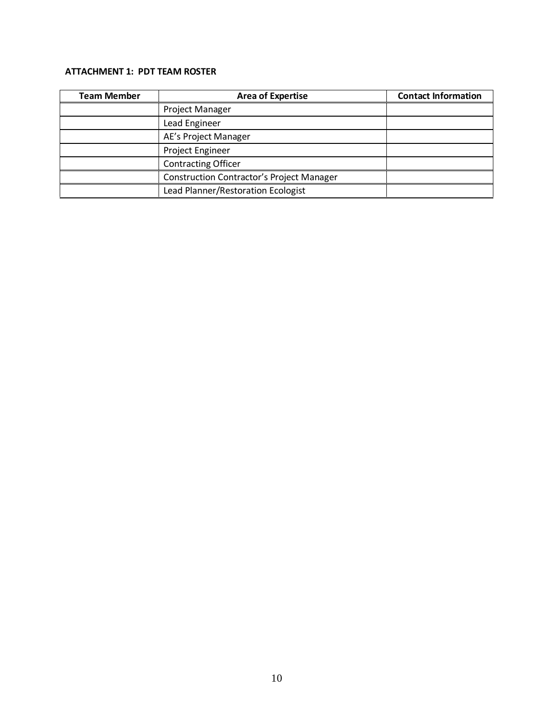## <span id="page-11-0"></span>**ATTACHMENT 1: PDT TEAM ROSTER**

| <b>Team Member</b> | <b>Area of Expertise</b>                         | <b>Contact Information</b> |
|--------------------|--------------------------------------------------|----------------------------|
|                    | <b>Project Manager</b>                           |                            |
|                    | Lead Engineer                                    |                            |
|                    | AE's Project Manager                             |                            |
|                    | Project Engineer                                 |                            |
|                    | <b>Contracting Officer</b>                       |                            |
|                    | <b>Construction Contractor's Project Manager</b> |                            |
|                    | Lead Planner/Restoration Ecologist               |                            |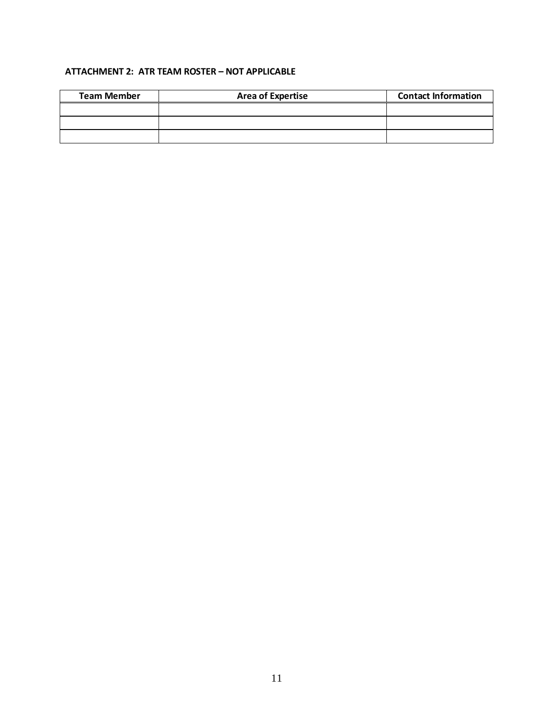## <span id="page-12-0"></span>**ATTACHMENT 2: ATR TEAM ROSTER – NOT APPLICABLE**

| <b>Team Member</b> | <b>Area of Expertise</b> | <b>Contact Information</b> |
|--------------------|--------------------------|----------------------------|
|                    |                          |                            |
|                    |                          |                            |
|                    |                          |                            |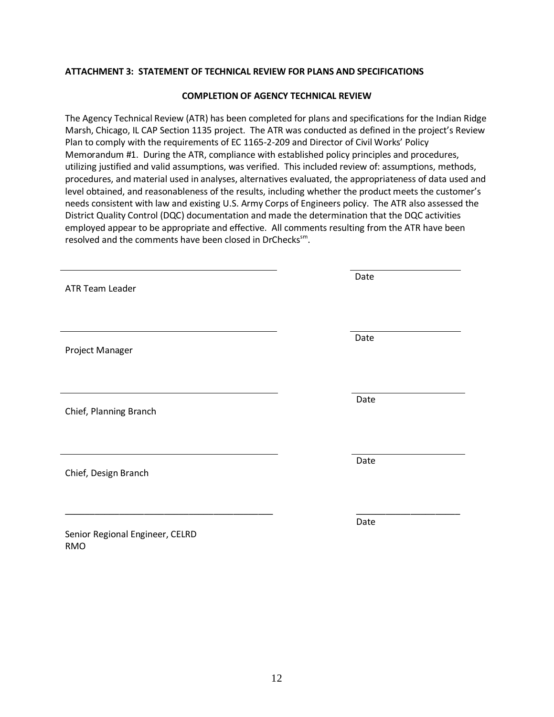#### <span id="page-13-0"></span>**ATTACHMENT 3: STATEMENT OF TECHNICAL REVIEW FOR PLANS AND SPECIFICATIONS**

#### **COMPLETION OF AGENCY TECHNICAL REVIEW**

The Agency Technical Review (ATR) has been completed for plans and specifications for the Indian Ridge Marsh, Chicago, IL CAP Section 1135 project. The ATR was conducted as defined in the project's Review Plan to comply with the requirements of EC 1165-2-209 and Director of Civil Works' Policy Memorandum #1. During the ATR, compliance with established policy principles and procedures, utilizing justified and valid assumptions, was verified. This included review of: assumptions, methods, procedures, and material used in analyses, alternatives evaluated, the appropriateness of data used and level obtained, and reasonableness of the results, including whether the product meets the customer's needs consistent with law and existing U.S. Army Corps of Engineers policy. The ATR also assessed the District Quality Control (DQC) documentation and made the determination that the DQC activities employed appear to be appropriate and effective. All comments resulting from the ATR have been resolved and the comments have been closed in DrChecks<sup>sm</sup>.

| <b>ATR Team Leader</b>                        | Date |
|-----------------------------------------------|------|
| Project Manager                               | Date |
| Chief, Planning Branch                        | Date |
| Chief, Design Branch                          | Date |
| Senior Regional Engineer, CELRD<br><b>RMO</b> | Date |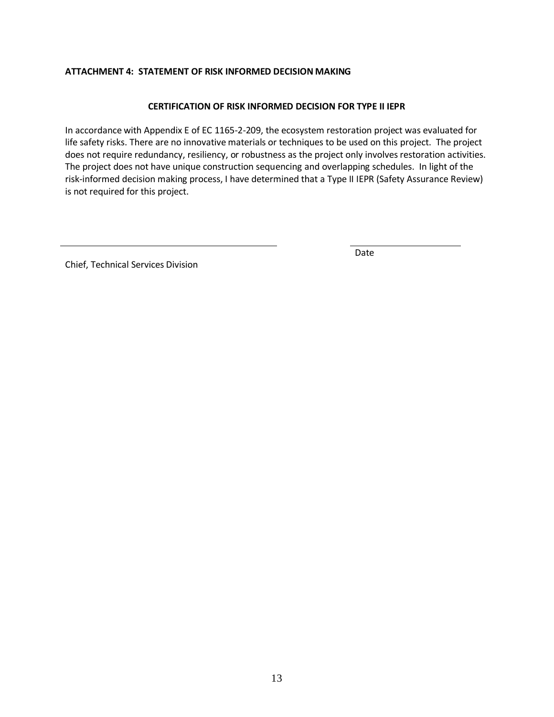#### <span id="page-14-0"></span>**ATTACHMENT 4: STATEMENT OF RISK INFORMED DECISION MAKING**

#### **CERTIFICATION OF RISK INFORMED DECISION FOR TYPE II IEPR**

In accordance with Appendix E of EC 1165-2-209, the ecosystem restoration project was evaluated for life safety risks. There are no innovative materials or techniques to be used on this project. The project does not require redundancy, resiliency, or robustness as the project only involves restoration activities. The project does not have unique construction sequencing and overlapping schedules. In light of the risk-informed decision making process, I have determined that a Type II IEPR (Safety Assurance Review) is not required for this project.

Chief, Technical Services Division

Date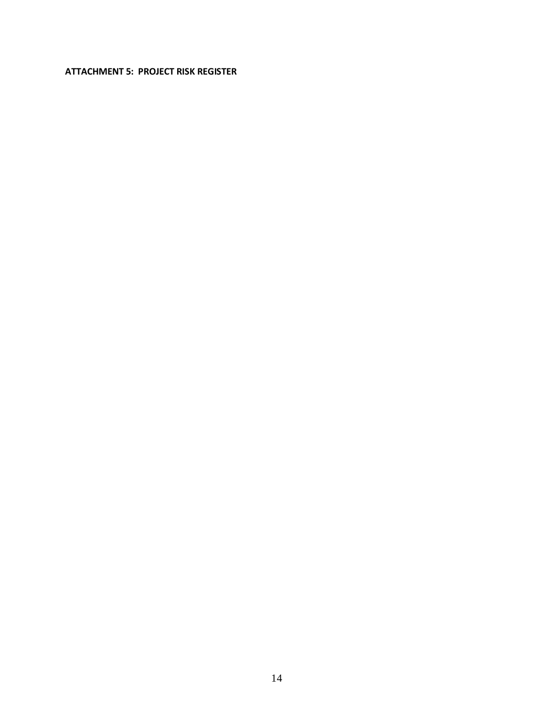#### <span id="page-15-0"></span>**ATTACHMENT 5: PROJECT RISK REGISTER**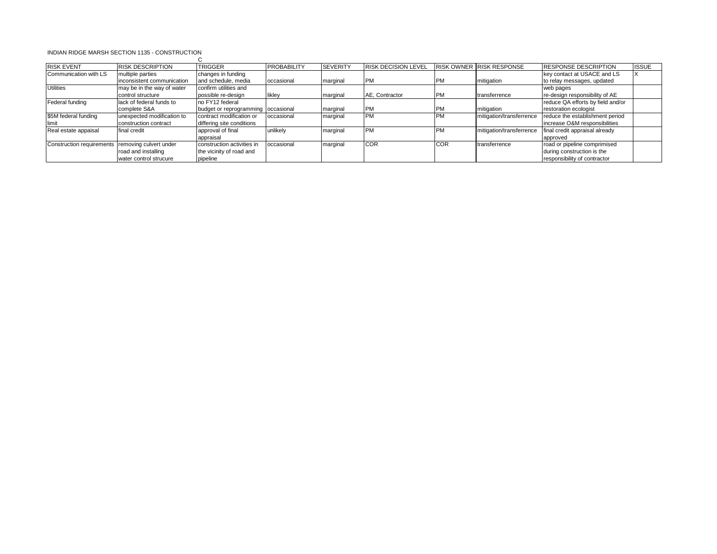#### INDIAN RIDGE MARSH SECTION 1135 - CONSTRUCTION  $\sim$

| <b>RISK EVENT</b>                                | <b>RISK DESCRIPTION</b>    | <b>TRIGGER</b>                     | <b>PROBABILITY</b> | <b>SEVERITY</b> | <b>RISK DECISION LEVEL</b> |            | <b>RISK OWNER RISK RESPONSE</b> | <b>RESPONSE DESCRIPTION</b>       | <b>ISSUE</b> |
|--------------------------------------------------|----------------------------|------------------------------------|--------------------|-----------------|----------------------------|------------|---------------------------------|-----------------------------------|--------------|
| Communication with LS                            | multiple parties           | changes in funding                 |                    |                 |                            |            |                                 | key contact at USACE and LS       |              |
|                                                  | inconsistent communication | and schedule, media                | occasional         | marginal        | <b>IPM</b>                 | <b>PM</b>  | mitigation                      | to relay messages, updated        |              |
| <b>Utilities</b>                                 | may be in the way of water | confirm utilities and              |                    |                 |                            |            |                                 | web pages                         |              |
|                                                  | control structure          | possible re-design                 | likley             | marginal        | AE, Contractor             | <b>PM</b>  | transferrence                   | re-design responsibility of AE    |              |
| Federal funding                                  | lack of federal funds to   | no FY12 federal                    |                    |                 |                            |            |                                 | reduce QA efforts by field and/or |              |
|                                                  | complete S&A               | budget or reprogramming occasional |                    | marginal        | <b>IPM</b>                 | <b>PM</b>  | mitigation                      | restoration ecologist             |              |
| \$5M federal funding                             | unexpected modification to | contract modification or           | occasional         | marginal        | <b>IPM</b>                 | <b>PM</b>  | mitigation/transferrence        | reduce the establishment period   |              |
| <b>Ilimit</b>                                    | construction contract      | differing site conditions          |                    |                 |                            |            |                                 | increase O&M responsibilities     |              |
| Real estate appaisal                             | final credit               | approval of final                  | unlikely           | marginal        | <b>IPM</b>                 | <b>PM</b>  | mitigation/transferrence        | final credit appraisal already    |              |
|                                                  |                            | appraisal                          |                    |                 |                            |            |                                 | approved                          |              |
| Construction requirements removing culvert under |                            | construction activities in         | occasional         | marginal        | <b>COR</b>                 | <b>COR</b> | transferrence                   | road or pipeline comprimised      |              |
|                                                  | road and installing        | the vicinity of road and           |                    |                 |                            |            |                                 | during construction is the        |              |
|                                                  | water control strucure     | pipeline                           |                    |                 |                            |            |                                 | responsibility of contractor      |              |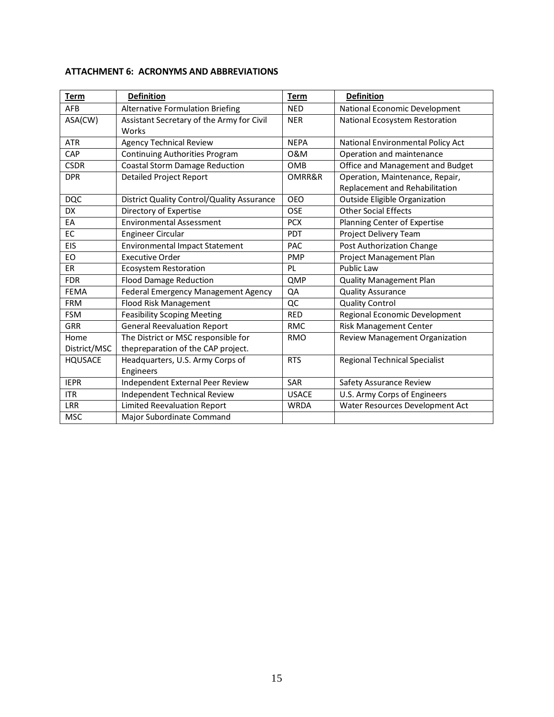| <b>Term</b>    | <b>Definition</b>                          | <b>Term</b>  | <b>Definition</b>                    |
|----------------|--------------------------------------------|--------------|--------------------------------------|
| AFB            | <b>Alternative Formulation Briefing</b>    | <b>NED</b>   | National Economic Development        |
| ASA(CW)        | Assistant Secretary of the Army for Civil  | <b>NER</b>   | National Ecosystem Restoration       |
|                | Works                                      |              |                                      |
| <b>ATR</b>     | <b>Agency Technical Review</b>             | <b>NEPA</b>  | National Environmental Policy Act    |
| CAP            | Continuing Authorities Program             | 0&M          | Operation and maintenance            |
| <b>CSDR</b>    | <b>Coastal Storm Damage Reduction</b>      | <b>OMB</b>   | Office and Management and Budget     |
| <b>DPR</b>     | <b>Detailed Project Report</b>             | OMRR&R       | Operation, Maintenance, Repair,      |
|                |                                            |              | Replacement and Rehabilitation       |
| <b>DQC</b>     | District Quality Control/Quality Assurance | <b>OEO</b>   | <b>Outside Eligible Organization</b> |
| <b>DX</b>      | Directory of Expertise                     | <b>OSE</b>   | <b>Other Social Effects</b>          |
| EA             | <b>Environmental Assessment</b>            | <b>PCX</b>   | Planning Center of Expertise         |
| EC             | <b>Engineer Circular</b>                   | PDT          | Project Delivery Team                |
| EIS            | <b>Environmental Impact Statement</b>      | PAC          | Post Authorization Change            |
| EO             | <b>Executive Order</b>                     | <b>PMP</b>   | Project Management Plan              |
| <b>ER</b>      | <b>Ecosystem Restoration</b>               | PL           | Public Law                           |
| <b>FDR</b>     | <b>Flood Damage Reduction</b>              | QMP          | <b>Quality Management Plan</b>       |
| <b>FEMA</b>    | Federal Emergency Management Agency        | QA           | <b>Quality Assurance</b>             |
| <b>FRM</b>     | <b>Flood Risk Management</b>               | QC           | <b>Quality Control</b>               |
| <b>FSM</b>     | <b>Feasibility Scoping Meeting</b>         | <b>RED</b>   | Regional Economic Development        |
| <b>GRR</b>     | <b>General Reevaluation Report</b>         | <b>RMC</b>   | <b>Risk Management Center</b>        |
| Home           | The District or MSC responsible for        | <b>RMO</b>   | Review Management Organization       |
| District/MSC   | thepreparation of the CAP project.         |              |                                      |
| <b>HQUSACE</b> | Headquarters, U.S. Army Corps of           | <b>RTS</b>   | <b>Regional Technical Specialist</b> |
|                | Engineers                                  |              |                                      |
| <b>IEPR</b>    | Independent External Peer Review           | SAR          | Safety Assurance Review              |
| <b>ITR</b>     | Independent Technical Review               | <b>USACE</b> | U.S. Army Corps of Engineers         |
| <b>LRR</b>     | <b>Limited Reevaluation Report</b>         | <b>WRDA</b>  | Water Resources Development Act      |
| <b>MSC</b>     | Major Subordinate Command                  |              |                                      |

#### <span id="page-17-0"></span>**ATTACHMENT 6: ACRONYMS AND ABBREVIATIONS**